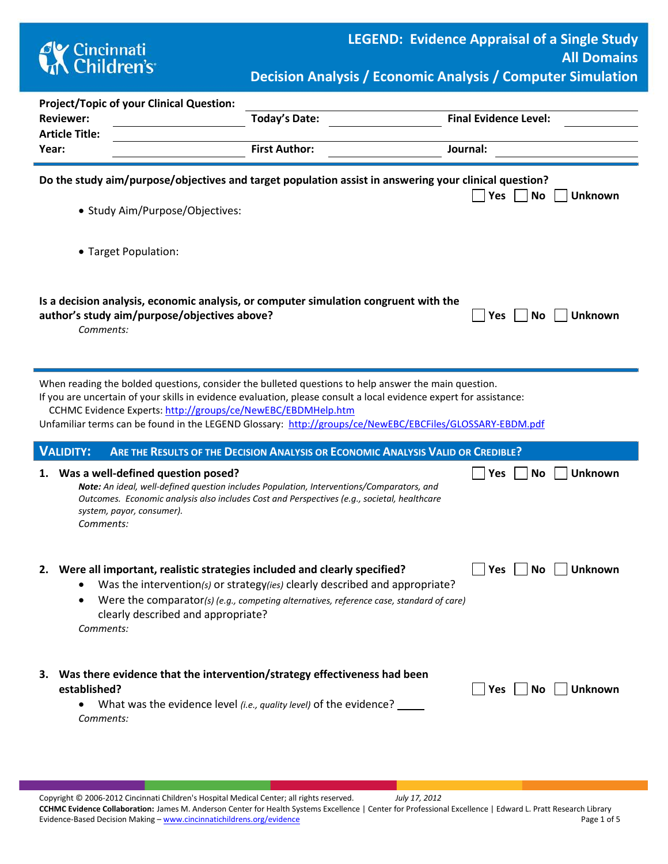

**Decision Analysis / Economic Analysis / Computer Simulation**

| <b>Project/Topic of your Clinical Question:</b> |                                                                                                                                                                                  |                                                                                                                                                                                                                                                                                                                                        |                                    |  |  |
|-------------------------------------------------|----------------------------------------------------------------------------------------------------------------------------------------------------------------------------------|----------------------------------------------------------------------------------------------------------------------------------------------------------------------------------------------------------------------------------------------------------------------------------------------------------------------------------------|------------------------------------|--|--|
|                                                 | <b>Reviewer:</b>                                                                                                                                                                 | Today's Date:                                                                                                                                                                                                                                                                                                                          | <b>Final Evidence Level:</b>       |  |  |
|                                                 | <b>Article Title:</b>                                                                                                                                                            |                                                                                                                                                                                                                                                                                                                                        |                                    |  |  |
|                                                 | Year:                                                                                                                                                                            | <b>First Author:</b>                                                                                                                                                                                                                                                                                                                   | Journal:                           |  |  |
|                                                 | • Study Aim/Purpose/Objectives:                                                                                                                                                  | Do the study aim/purpose/objectives and target population assist in answering your clinical question?                                                                                                                                                                                                                                  | Yes<br><b>No</b><br><b>Unknown</b> |  |  |
|                                                 | • Target Population:                                                                                                                                                             |                                                                                                                                                                                                                                                                                                                                        |                                    |  |  |
|                                                 | Is a decision analysis, economic analysis, or computer simulation congruent with the<br>author's study aim/purpose/objectives above?<br><b>Unknown</b><br>Yes<br>No<br>Comments: |                                                                                                                                                                                                                                                                                                                                        |                                    |  |  |
|                                                 | CCHMC Evidence Experts: http://groups/ce/NewEBC/EBDMHelp.htm                                                                                                                     | When reading the bolded questions, consider the bulleted questions to help answer the main question.<br>If you are uncertain of your skills in evidence evaluation, please consult a local evidence expert for assistance:<br>Unfamiliar terms can be found in the LEGEND Glossary: http://groups/ce/NewEBC/EBCFiles/GLOSSARY-EBDM.pdf |                                    |  |  |
|                                                 | <b>VALIDITY:</b>                                                                                                                                                                 | ARE THE RESULTS OF THE DECISION ANALYSIS OR ECONOMIC ANALYSIS VALID OR CREDIBLE?                                                                                                                                                                                                                                                       |                                    |  |  |
| 1.                                              | Was a well-defined question posed?<br>system, payor, consumer).<br>Comments:                                                                                                     | Note: An ideal, well-defined question includes Population, Interventions/Comparators, and<br>Outcomes. Economic analysis also includes Cost and Perspectives (e.g., societal, healthcare                                                                                                                                               | <b>No</b><br><b>Unknown</b><br>Yes |  |  |
|                                                 | 2. Were all important, realistic strategies included and clearly specified?<br>clearly described and appropriate?<br>Comments:                                                   | • Was the intervention(s) or strategy(ies) clearly described and appropriate?<br>Were the comparator(s) (e.g., competing alternatives, reference case, standard of care)                                                                                                                                                               | <b>Unknown</b><br>Yes<br>No        |  |  |
| З.                                              | Was there evidence that the intervention/strategy effectiveness had been<br>established?<br>$\bullet$<br>Comments:                                                               | What was the evidence level <i>(i.e., quality level)</i> of the evidence? _____                                                                                                                                                                                                                                                        | <b>Unknown</b><br>Yes<br>No        |  |  |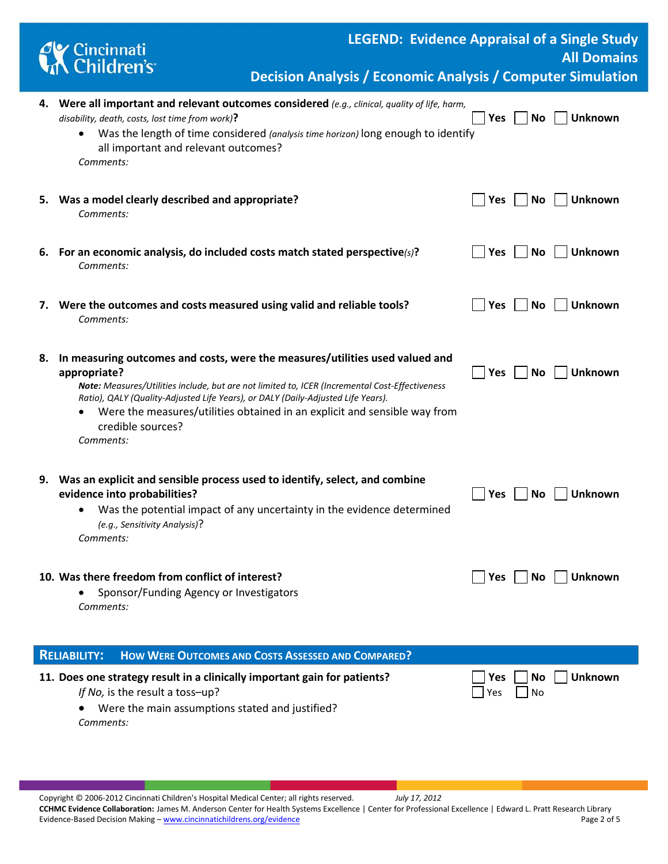

**LEGEND: Evidence Appraisal of a Single Study All Domains**

**Decision Analysis / Economic Analysis / Computer Simulation**

|                                                                                  | 4. Were all important and relevant outcomes considered (e.g., clinical, quality of life, harm,<br>disability, death, costs, lost time from work)?<br>Was the length of time considered (analysis time horizon) long enough to identify<br>٠<br>all important and relevant outcomes?<br>Comments:                                                                                                       | Yes        | No                | <b>Unknown</b> |
|----------------------------------------------------------------------------------|--------------------------------------------------------------------------------------------------------------------------------------------------------------------------------------------------------------------------------------------------------------------------------------------------------------------------------------------------------------------------------------------------------|------------|-------------------|----------------|
|                                                                                  | 5. Was a model clearly described and appropriate?<br>Comments:                                                                                                                                                                                                                                                                                                                                         | <b>Yes</b> | No                | <b>Unknown</b> |
|                                                                                  | 6. For an economic analysis, do included costs match stated perspective(s)?<br>Comments:                                                                                                                                                                                                                                                                                                               | Yes        | <b>No</b>         | <b>Unknown</b> |
|                                                                                  | 7. Were the outcomes and costs measured using valid and reliable tools?<br>Comments:                                                                                                                                                                                                                                                                                                                   | Yes        | No                | <b>Unknown</b> |
| 8.                                                                               | In measuring outcomes and costs, were the measures/utilities used valued and<br>appropriate?<br>Note: Measures/Utilities include, but are not limited to, ICER (Incremental Cost-Effectiveness<br>Ratio), QALY (Quality-Adjusted Life Years), or DALY (Daily-Adjusted Life Years).<br>Were the measures/utilities obtained in an explicit and sensible way from<br>٠<br>credible sources?<br>Comments: | Yes        | <b>No</b>         | <b>Unknown</b> |
| 9.                                                                               | Was an explicit and sensible process used to identify, select, and combine<br>evidence into probabilities?<br>Was the potential impact of any uncertainty in the evidence determined<br>٠<br>(e.g., Sensitivity Analysis)?<br>Comments:                                                                                                                                                                | Yes        | <b>No</b>         | <b>Unknown</b> |
|                                                                                  | 10. Was there freedom from conflict of interest?<br>Sponsor/Funding Agency or Investigators<br>Comments:                                                                                                                                                                                                                                                                                               | Yes        | No.               | <b>Unknown</b> |
| <b>RELIABILITY:</b><br><b>HOW WERE OUTCOMES AND COSTS ASSESSED AND COMPARED?</b> |                                                                                                                                                                                                                                                                                                                                                                                                        |            |                   |                |
|                                                                                  | 11. Does one strategy result in a clinically important gain for patients?<br>If No, is the result a toss-up?<br>Were the main assumptions stated and justified?<br>Comments:                                                                                                                                                                                                                           | Yes<br>Yes | <b>No</b><br>  No | <b>Unknown</b> |

Copyright © 2006-2012 Cincinnati Children's Hospital Medical Center; all rights reserved. *July 17, 2012* **CCHMC Evidence Collaboration:** James M. Anderson Center for Health Systems Excellence | Center for Professional Excellence | Edward L. Pratt Research Library Evidence-Based Decision Making – [www.cincinnatichildrens.org/evidence](http://www.cincinnatichildrens.org/service/j/anderson-center/evidence-based-care/legend/) Page 2 of 5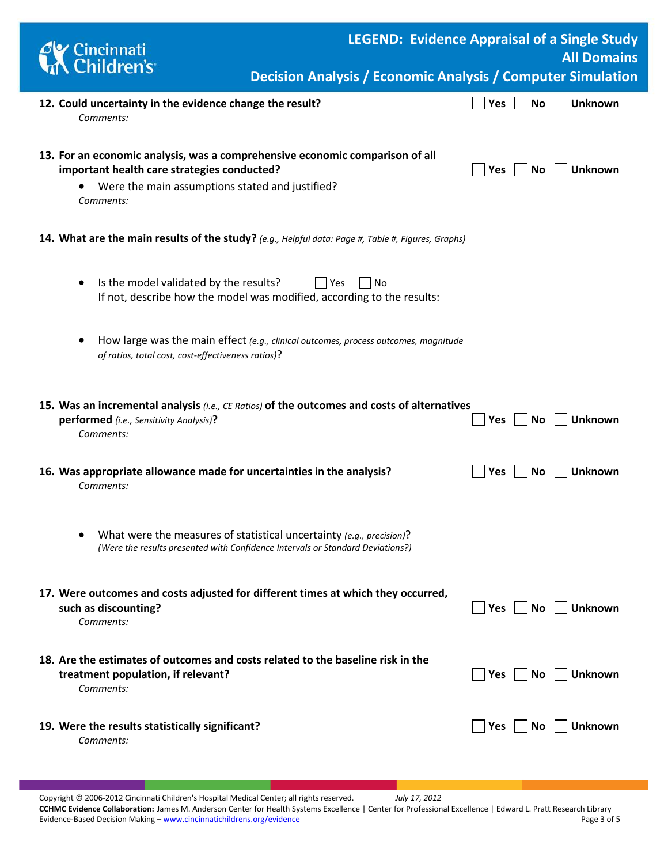| Cincinnati<br>A Children's                                                                                                                                                                  | <b>LEGEND: Evidence Appraisal of a Single Study</b><br><b>Decision Analysis / Economic Analysis / Computer Simulation</b> |            |           | <b>All Domains</b> |
|---------------------------------------------------------------------------------------------------------------------------------------------------------------------------------------------|---------------------------------------------------------------------------------------------------------------------------|------------|-----------|--------------------|
| 12. Could uncertainty in the evidence change the result?<br>Comments:                                                                                                                       |                                                                                                                           | Yes        | No        | <b>Unknown</b>     |
| 13. For an economic analysis, was a comprehensive economic comparison of all<br>important health care strategies conducted?<br>Were the main assumptions stated and justified?<br>Comments: |                                                                                                                           | Yes        | <b>No</b> | <b>Unknown</b>     |
| 14. What are the main results of the study? (e.g., Helpful data: Page #, Table #, Figures, Graphs)                                                                                          |                                                                                                                           |            |           |                    |
| Is the model validated by the results?<br>l lYes<br>$\bullet$<br>If not, describe how the model was modified, according to the results:                                                     | No                                                                                                                        |            |           |                    |
| How large was the main effect (e.g., clinical outcomes, process outcomes, magnitude<br>of ratios, total cost, cost-effectiveness ratios)?                                                   |                                                                                                                           |            |           |                    |
| 15. Was an incremental analysis (i.e., CE Ratios) of the outcomes and costs of alternatives<br>performed (i.e., Sensitivity Analysis)?<br>Comments:                                         |                                                                                                                           | <b>Yes</b> | No        | <b>Unknown</b>     |
| 16. Was appropriate allowance made for uncertainties in the analysis?<br>Comments:                                                                                                          |                                                                                                                           | <b>Yes</b> | No.       | <b>Unknown</b>     |
| What were the measures of statistical uncertainty (e.g., precision)?<br>(Were the results presented with Confidence Intervals or Standard Deviations?)                                      |                                                                                                                           |            |           |                    |
| 17. Were outcomes and costs adjusted for different times at which they occurred,<br>such as discounting?<br>Comments:                                                                       |                                                                                                                           | Yes $\Box$ | No        | <b>Unknown</b>     |
| 18. Are the estimates of outcomes and costs related to the baseline risk in the<br>treatment population, if relevant?<br>Comments:                                                          |                                                                                                                           | Yes        | No.       | <b>Unknown</b>     |
| 19. Were the results statistically significant?<br>Comments:                                                                                                                                |                                                                                                                           | Yes        | No        | <b>Unknown</b>     |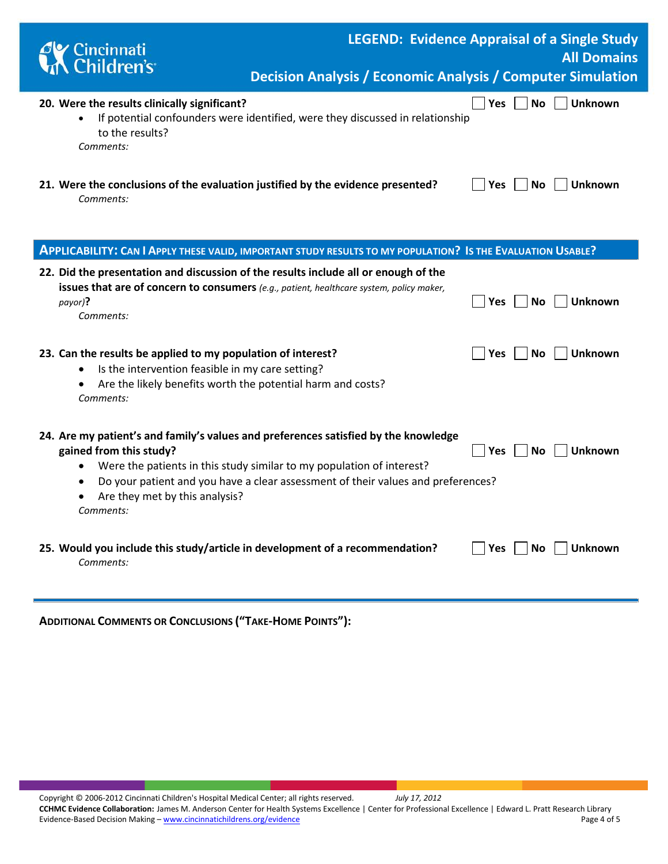| <b>C</b> Cincinnati<br>Children's                                                         | <b>LEGEND: Evidence Appraisal of a Single Study</b><br><b>All Domains</b><br><b>Decision Analysis / Economic Analysis / Computer Simulation</b> |
|-------------------------------------------------------------------------------------------|-------------------------------------------------------------------------------------------------------------------------------------------------|
| 20. Were the results clinically significant?<br>$\bullet$<br>to the results?<br>Comments: | Yes  <br>No l<br><b>Unknown</b><br>If potential confounders were identified, were they discussed in relationship                                |
|                                                                                           | 21. Were the conclusions of the evaluation justified by the evidence presented?<br><b>Unknown</b><br><b>Yes</b><br>No l                         |

*Comments:* 

| APPLICABILITY: CAN I APPLY THESE VALID, IMPORTANT STUDY RESULTS TO MY POPULATION? IS THE EVALUATION USABLE?                                                                                                                                                                                                                                       |                                           |  |
|---------------------------------------------------------------------------------------------------------------------------------------------------------------------------------------------------------------------------------------------------------------------------------------------------------------------------------------------------|-------------------------------------------|--|
| 22. Did the presentation and discussion of the results include all or enough of the<br><b>issues that are of concern to consumers</b> (e.g., patient, healthcare system, policy maker,<br>payor)?<br>Comments:                                                                                                                                    | <b>Unknown</b><br><b>No</b><br><b>Yes</b> |  |
| 23. Can the results be applied to my population of interest?<br>Is the intervention feasible in my care setting?<br>$\bullet$<br>Are the likely benefits worth the potential harm and costs?<br>$\bullet$<br>Comments:                                                                                                                            | Unknown<br><b>No</b><br><b>Yes</b>        |  |
| 24. Are my patient's and family's values and preferences satisfied by the knowledge<br>gained from this study?<br>Were the patients in this study similar to my population of interest?<br>$\bullet$<br>Do your patient and you have a clear assessment of their values and preferences?<br>٠<br>Are they met by this analysis?<br>٠<br>Comments: | <b>Unknown</b><br><b>Yes</b><br><b>No</b> |  |
| 25. Would you include this study/article in development of a recommendation?<br>Comments:                                                                                                                                                                                                                                                         | Unknown<br>Yes<br>No.                     |  |

| <b>ADDITIONAL COMMENTS OR CONCLUSIONS ("TAKE-HOME POINTS"):</b> |  |  |  |
|-----------------------------------------------------------------|--|--|--|
|-----------------------------------------------------------------|--|--|--|